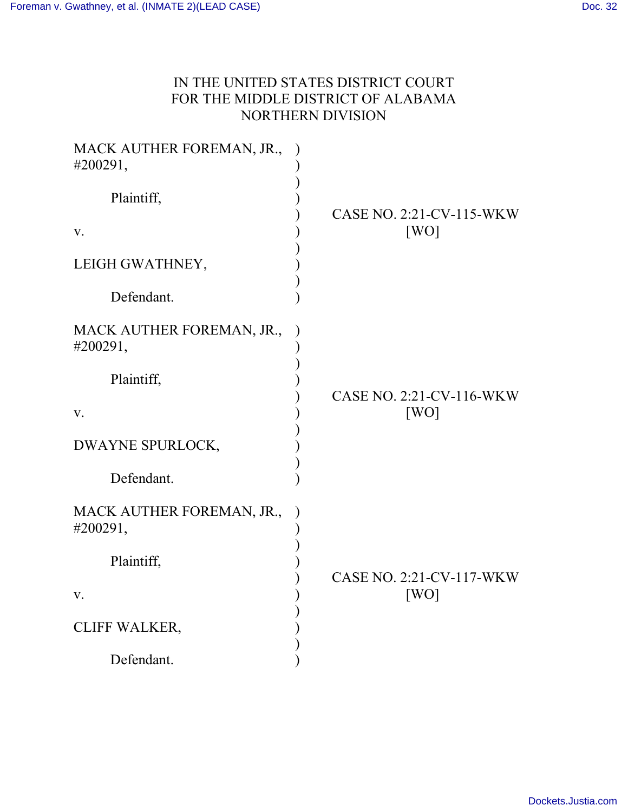## IN THE UNITED STATES DISTRICT COURT FOR THE MIDDLE DISTRICT OF ALABAMA NORTHERN DIVISION

| MACK AUTHER FOREMAN, JR.,<br>#200291, |                          |
|---------------------------------------|--------------------------|
| Plaintiff,                            | CASE NO. 2:21-CV-115-WKW |
| V.                                    | [WO]                     |
| LEIGH GWATHNEY,                       |                          |
| Defendant.                            |                          |
| MACK AUTHER FOREMAN, JR.,<br>#200291, |                          |
| Plaintiff,                            | CASE NO. 2:21-CV-116-WKW |
| V.                                    | [WO]                     |
| DWAYNE SPURLOCK,                      |                          |
| Defendant.                            |                          |
| MACK AUTHER FOREMAN, JR.,<br>#200291, |                          |
| Plaintiff,                            | CASE NO. 2:21-CV-117-WKW |
| V.                                    | [WO]                     |
| <b>CLIFF WALKER,</b>                  |                          |
| Defendant.                            |                          |